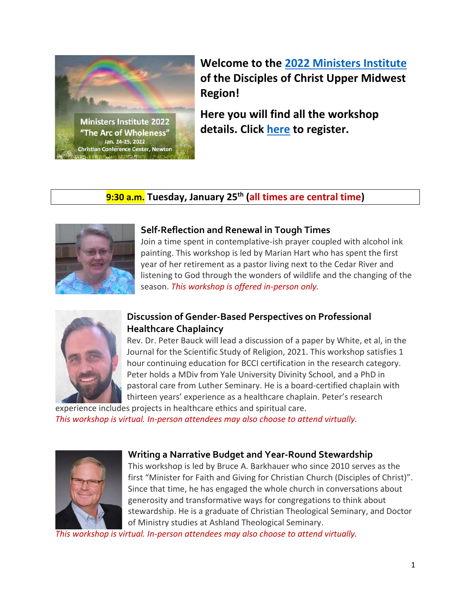

**Welcome to the [2022 Ministers Institute](https://www.uppermidwestcc.org/mi2020) of the Disciples of Christ Upper Midwest Region!**

**Here you will find all the workshop details. Click [here](https://docgeneralassembly.regfox.com/umw-2022-ministers-institute) to register.**

### **9:30 a.m. Tuesday, January 25 th (all times are central time)**



### **Self-Reflection and Renewal in Tough Times**

Join a time spent in contemplative-ish prayer coupled with alcohol ink painting. This workshop is led by Marian Hart who has spent the first year of her retirement as a pastor living next to the Cedar River and listening to God through the wonders of wildlife and the changing of the season. *This workshop is offered in-person only.*



### **Discussion of Gender-Based Perspectives on Professional Healthcare Chaplaincy**

Rev. Dr. Peter Bauck will lead a discussion of a paper by White, et al, in the Journal for the Scientific Study of Religion, 2021. This workshop satisfies 1 hour continuing education for BCCI certification in the research category. Peter holds a MDiv from Yale University Divinity School, and a PhD in pastoral care from Luther Seminary. He is a board-certified chaplain with thirteen years' experience as a healthcare chaplain. Peter's research

experience includes projects in healthcare ethics and spiritual care. *This workshop is virtual. In-person attendees may also choose to attend virtually.*

### **Writing a Narrative Budget and Year-Round Stewardship**

This workshop is led by Bruce A. Barkhauer who since 2010 serves as the first "Minister for Faith and Giving for Christian Church (Disciples of Christ)". Since that time, he has engaged the whole church in conversations about generosity and transformative ways for congregations to think about stewardship. He is a graduate of Christian Theological Seminary, and Doctor of Ministry studies at Ashland Theological Seminary.

*This workshop is virtual. In-person attendees may also choose to attend virtually.*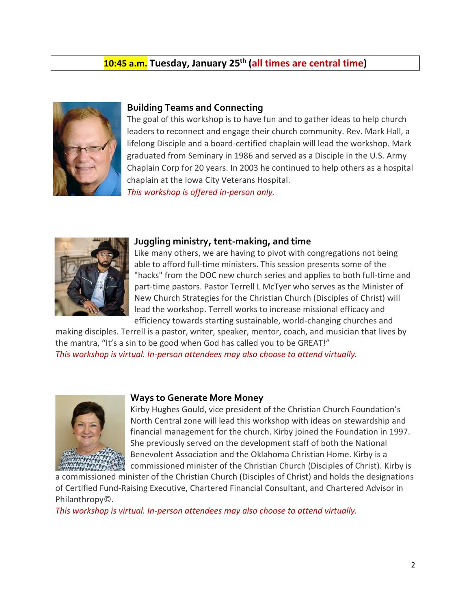### **10:45 a.m. Tuesday, January 25 th (all times are central time)**



#### **Building Teams and Connecting**

The goal of this workshop is to have fun and to gather ideas to help church leaders to reconnect and engage their church community. Rev. Mark Hall, a lifelong Disciple and a board-certified chaplain will lead the workshop. Mark graduated from Seminary in 1986 and served as a Disciple in the U.S. Army Chaplain Corp for 20 years. In 2003 he continued to help others as a hospital chaplain at the Iowa City Veterans Hospital.

*This workshop is offered in-person only.*



#### **Juggling ministry, tent-making, and time**

Like many others, we are having to pivot with congregations not being able to afford full-time ministers. This session presents some of the "hacks" from the DOC new church series and applies to both full-time and part-time pastors. Pastor Terrell L McTyer who serves as the Minister of New Church Strategies for the [Christian Church \(Disciples of Christ\) will](https://disciples.org/) lead the workshop. Terrell works to increase missional efficacy and efficiency towards starting sustainable, world-changing churches and

making disciples. Terrell is a pastor, writer, speaker, mentor, coach, and musician that lives by the mantra, "It's a sin to be good when God has called you to be GREAT!" *This workshop is virtual. In-person attendees may also choose to attend virtually.*



#### **Ways to Generate More Money**

Kirby Hughes Gould, vice president of the Christian Church Foundation's North Central zone will lead this workshop with ideas on stewardship and financial management for the church. Kirby joined the Foundation in 1997. She previously served on the development staff of both the National Benevolent Association and the Oklahoma Christian Home. Kirby is a commissioned minister of the Christian Church (Disciples of Christ). Kirby is

a commissioned minister of the Christian Church (Disciples of Christ) and holds the designations of Certified Fund-Raising Executive, Chartered Financial Consultant, and Chartered Advisor in Philanthropy©.

*This workshop is virtual. In-person attendees may also choose to attend virtually.*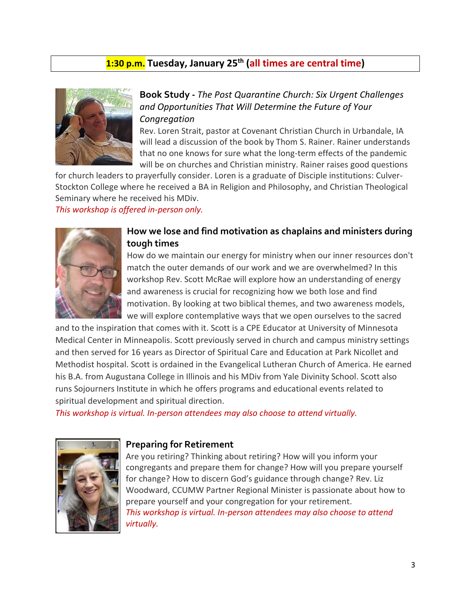### **1:30 p.m. Tuesday, January 25 th (all times are central time)**



### **Book Study -** *The Post Quarantine Church: Six Urgent Challenges and Opportunities That Will Determine the Future of Your Congregation*

Rev. Loren Strait, pastor at Covenant Christian Church in Urbandale, IA will lead a discussion of the book by Thom S. Rainer. Rainer understands that no one knows for sure what the long-term effects of the pandemic will be on churches and Christian ministry. Rainer raises good questions

for church leaders to prayerfully consider. Loren is a graduate of Disciple institutions: Culver-Stockton College where he received a BA in Religion and Philosophy, and Christian Theological Seminary where he received his MDiv.

*This workshop is offered in-person only.*



### **How we lose and find motivation as chaplains and ministers during tough times**

How do we maintain our energy for ministry when our inner resources don't match the outer demands of our work and we are overwhelmed? In this workshop Rev. Scott McRae will explore how an understanding of energy and awareness is crucial for recognizing how we both lose and find motivation. By looking at two biblical themes, and two awareness models, we will explore contemplative ways that we open ourselves to the sacred

and to the inspiration that comes with it. Scott is a CPE Educator at University of Minnesota Medical Center in Minneapolis. Scott previously served in church and campus ministry settings and then served for 16 years as Director of Spiritual Care and Education at Park Nicollet and Methodist hospital. Scott is ordained in the Evangelical Lutheran Church of America. He earned his B.A. from Augustana College in Illinois and his MDiv from Yale Divinity School. Scott also runs Sojourners Institute in which he offers programs and educational events related to spiritual development and spiritual direction.

*This workshop is virtual. In-person attendees may also choose to attend virtually.*



#### **Preparing for Retirement**

Are you retiring? Thinking about retiring? How will you inform your congregants and prepare them for change? How will you prepare yourself for change? How to discern God's guidance through change? Rev. Liz Woodward, CCUMW Partner Regional Minister is passionate about how to prepare yourself and your congregation for your retirement. *This workshop is virtual. In-person attendees may also choose to attend virtually.*